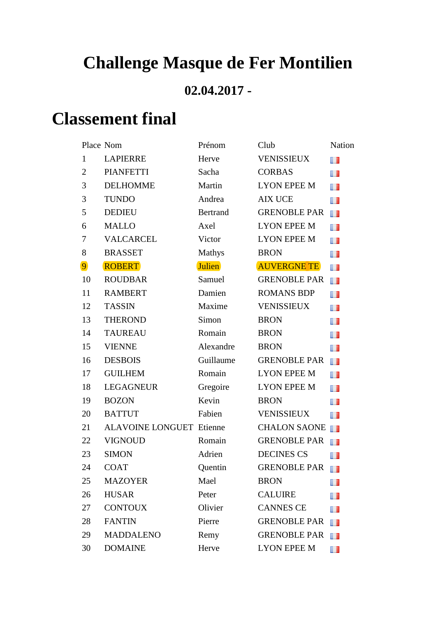## **Challenge Masque de Fer Montilien**

## **02.04.2017 -**

## **Classement final**

|                | Place Nom                       | Prénom          | Club                | Nation |
|----------------|---------------------------------|-----------------|---------------------|--------|
| $\mathbf{1}$   | <b>LAPIERRE</b>                 | Herve           | <b>VENISSIEUX</b>   | n      |
| $\overline{2}$ | <b>PIANFETTI</b>                | Sacha           | <b>CORBAS</b>       | w      |
| 3              | <b>DELHOMME</b>                 | Martin          | <b>LYON EPEE M</b>  | w      |
| 3              | <b>TUNDO</b>                    | Andrea          | <b>AIX UCE</b>      | Œ      |
| 5              | <b>DEDIEU</b>                   | <b>Bertrand</b> | <b>GRENOBLE PAR</b> | H      |
| 6              | <b>MALLO</b>                    | Axel            | <b>LYON EPEE M</b>  | H.     |
| $\tau$         | <b>VALCARCEL</b>                | Victor          | <b>LYON EPEE M</b>  | w      |
| 8              | <b>BRASSET</b>                  | Mathys          | <b>BRON</b>         | H      |
| $\overline{9}$ | <b>ROBERT</b>                   | <b>Julien</b>   | <b>AUVERGNE TE</b>  | H.     |
| 10             | <b>ROUDBAR</b>                  | Samuel          | <b>GRENOBLE PAR</b> | H      |
| 11             | <b>RAMBERT</b>                  | Damien          | <b>ROMANS BDP</b>   | w      |
| 12             | <b>TASSIN</b>                   | Maxime          | <b>VENISSIEUX</b>   | H.     |
| 13             | <b>THEROND</b>                  | Simon           | <b>BRON</b>         | H.     |
| 14             | <b>TAUREAU</b>                  | Romain          | <b>BRON</b>         | H.     |
| 15             | <b>VIENNE</b>                   | Alexandre       | <b>BRON</b>         | H.     |
| 16             | <b>DESBOIS</b>                  | Guillaume       | <b>GRENOBLE PAR</b> | n 1    |
| 17             | <b>GUILHEM</b>                  | Romain          | <b>LYON EPEE M</b>  | w      |
| 18             | <b>LEGAGNEUR</b>                | Gregoire        | <b>LYON EPEE M</b>  | Œ      |
| 19             | <b>BOZON</b>                    | Kevin           | <b>BRON</b>         | w      |
| 20             | <b>BATTUT</b>                   | Fabien          | <b>VENISSIEUX</b>   | H      |
| 21             | <b>ALAVOINE LONGUET Etienne</b> |                 | <b>CHALON SAONE</b> | H      |
| 22             | <b>VIGNOUD</b>                  | Romain          | <b>GRENOBLE PAR</b> | H      |
| 23             | <b>SIMON</b>                    | Adrien          | <b>DECINES CS</b>   | ш      |
| 24             | <b>COAT</b>                     | Quentin         | <b>GRENOBLE PAR</b> | H      |
| 25             | <b>MAZOYER</b>                  | Mael            | <b>BRON</b>         | m      |
| 26             | <b>HUSAR</b>                    | Peter           | <b>CALUIRE</b>      | H      |
| 27             | <b>CONTOUX</b>                  | Olivier         | <b>CANNES CE</b>    | m      |
| 28             | <b>FANTIN</b>                   | Pierre          | <b>GRENOBLE PAR</b> | n.     |
| 29             | <b>MADDALENO</b>                | Remy            | <b>GRENOBLE PAR</b> | m      |
| 30             | <b>DOMAINE</b>                  | Herve           | <b>LYON EPEE M</b>  | n      |